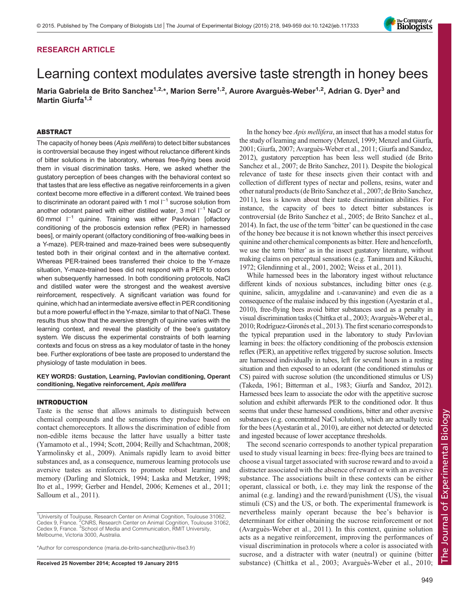# RESEARCH ARTICLE

# Learning context modulates aversive taste strength in honey bees

Maria Gabriela de Brito Sanchez<sup>1,2,\*</sup>, Marion Serre<sup>1,2</sup>, Aurore Avarguès-Weber<sup>1,2</sup>, Adrian G. Dyer<sup>3</sup> and Martin Giurfa<sup>1,2</sup>

# ABSTRACT

The capacity of honey bees (Apis mellifera) to detect bitter substances is controversial because they ingest without reluctance different kinds of bitter solutions in the laboratory, whereas free-flying bees avoid them in visual discrimination tasks. Here, we asked whether the gustatory perception of bees changes with the behavioral context so that tastes that are less effective as negative reinforcements in a given context become more effective in a different context. We trained bees to discriminate an odorant paired with 1 mol  $I^{-1}$  sucrose solution from another odorant paired with either distilled water, 3 mol l−<sup>1</sup> NaCl or 60 mmol l−<sup>1</sup> quinine. Training was either Pavlovian [olfactory conditioning of the proboscis extension reflex (PER) in harnessed bees], or mainly operant (olfactory conditioning of free-walking bees in a Y-maze). PER-trained and maze-trained bees were subsequently tested both in their original context and in the alternative context. Whereas PER-trained bees transferred their choice to the Y-maze situation, Y-maze-trained bees did not respond with a PER to odors when subsequently harnessed. In both conditioning protocols, NaCl and distilled water were the strongest and the weakest aversive reinforcement, respectively. A significant variation was found for quinine, which had an intermediate aversive effect in PER conditioning but a more powerful effect in the Y-maze, similar to that of NaCl. These results thus show that the aversive strength of quinine varies with the learning context, and reveal the plasticity of the bee's gustatory system. We discuss the experimental constraints of both learning contexts and focus on stress as a key modulator of taste in the honey bee. Further explorations of bee taste are proposed to understand the physiology of taste modulation in bees.

## KEY WORDS: Gustation, Learning, Pavlovian conditioning, Operant conditioning, Negative reinforcement, Apis mellifera

### INTRODUCTION

Taste is the sense that allows animals to distinguish between chemical compounds and the sensations they produce based on contact chemoreceptors. It allows the discrimination of edible from non-edible items because the latter have usually a bitter taste [\(Yamamoto et al., 1994](#page-10-0); [Scott, 2004](#page-10-0); [Reilly and Schachtman, 2008](#page-10-0); [Yarmolinsky et al., 2009\)](#page-10-0). Animals rapidly learn to avoid bitter substances and, as a consequence, numerous learning protocols use aversive tastes as reinforcers to promote robust learning and memory [\(Darling and Slotnick, 1994; Laska and Metzker, 1998](#page-9-0); [Ito et al., 1999; Gerber and Hendel, 2006](#page-9-0); [Kemenes et al., 2011](#page-9-0); [Salloum et al., 2011\)](#page-10-0).

\*Author for correspondence (maria.de-brito-sanchez@univ-tlse3.fr)

In the honey bee Apis mellifera, an insect that has a model status for the study of learning and memory ([Menzel, 1999; Menzel and Giurfa,](#page-9-0) [2001; Giurfa, 2007](#page-9-0); Avarguès-Weber et al., 2011; [Giurfa and Sandoz,](#page-9-0) [2012\)](#page-9-0), gustatory perception has been less well studied [\(de Brito](#page-9-0) [Sanchez et al., 2007; de Brito Sanchez, 2011](#page-9-0)). Despite the biological relevance of taste for these insects given their contact with and collection of different types of nectar and pollens, resins, water and other natural products ([de Brito Sanchez et al., 2007](#page-9-0); [de Brito Sanchez,](#page-9-0) [2011\)](#page-9-0), less is known about their taste discrimination abilities. For instance, the capacity of bees to detect bitter substances is controversial ([de Brito Sanchez et al., 2005](#page-9-0); [de Brito Sanchez et al.,](#page-9-0) [2014\)](#page-9-0). In fact, the use of the term 'bitter' can be questioned in the case of the honey bee because it is not known whether this insect perceives quinine and other chemical components as bitter. Here and henceforth, we use the term 'bitter' as in the insect gustatory literature, without making claims on perceptual sensations (e.g. [Tanimura and Kikuchi,](#page-10-0) [1972;](#page-10-0) [Glendinning et al., 2001](#page-9-0), [2002](#page-9-0); [Weiss et al., 2011\)](#page-10-0).

While harnessed bees in the laboratory ingest without reluctance different kinds of noxious substances, including bitter ones (e.g. quinine, salicin, amygdaline and L-canavanine) and even die as a consequence of the malaise induced by this ingestion [\(Ayestarán et al.,](#page-9-0) [2010](#page-9-0)), free-flying bees avoid bitter substances used as a penalty in visual discrimination tasks [\(Chittka et al., 2003](#page-9-0); Avarguès-Weber et al., [2010](#page-9-0); [Rodríguez-Gironés et al., 2013\)](#page-10-0). The first scenario correspondsto the typical preparation used in the laboratory to study Pavlovian learning in bees: the olfactory conditioning of the proboscis extension reflex (PER), an appetitive reflex triggered by sucrose solution. Insects are harnessed individually in tubes, left for several hours in a resting situation and then exposed to an odorant (the conditioned stimulus or CS) paired with sucrose solution (the unconditioned stimulus or US) [\(Takeda, 1961;](#page-10-0) [Bitterman et al., 1983](#page-9-0); [Giurfa and Sandoz, 2012\)](#page-9-0). Harnessed bees learn to associate the odor with the appetitive sucrose solution and exhibit afterwards PER to the conditioned odor. It thus seems that under these harnessed conditions, bitter and other aversive substances (e.g. concentrated NaCl solution), which are actually toxic for the bees ([Ayestarán et al., 2010](#page-9-0)), are either not detected or detected and ingested because of lower acceptance thresholds.

The second scenario corresponds to another typical preparation used to study visual learning in bees: free-flying bees are trained to choose a visual target associated with sucrose reward and to avoid a distracter associated with the absence of reward or with an aversive substance. The associations built in these contexts can be either operant, classical or both, i.e. they may link the response of the animal (e.g. landing) and the reward/punishment (US), the visual stimuli (CS) and the US, or both. The experimental framework is nevertheless mainly operant because the bee's behavior is determinant for either obtaining the sucrose reinforcement or not  $(Avargu \`es-Weber et al., 2011)$ . In this context, quinine solution acts as a negative reinforcement, improving the performances of visual discrimination in protocols where a color is associated with sucrose, and a distracter with water (neutral) or quinine (bitter Received 25 November 2014; Accepted 19 January 2015 substance) ([Chittka et al., 2003](#page-9-0); Avarguès-Weber et al., 2010;



<sup>&</sup>lt;sup>1</sup>University of Toulouse, Research Center on Animal Cognition, Toulouse 31062, Cedex 9, France. <sup>2</sup>CNRS, Research Center on Animal Cognition, Toulouse 31062,<br>Cedex 9, France. <sup>3</sup>School of Media and Communication, RMIT University, Melbourne, Victoria 3000, Australia.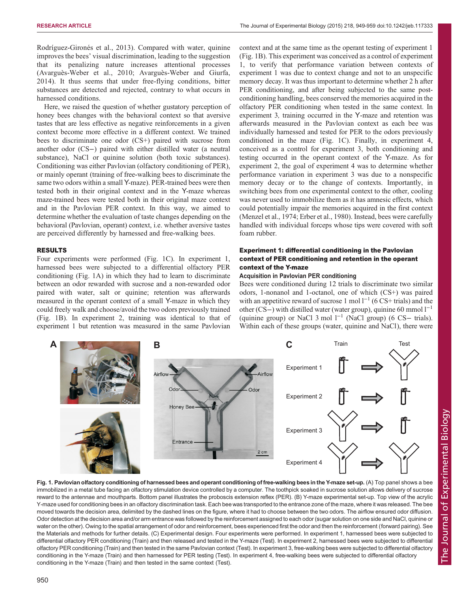<span id="page-1-0"></span>[Rodríguez-Gironés et al., 2013\)](#page-10-0). Compared with water, quinine improves the bees' visual discrimination, leading to the suggestion that its penalizing nature increases attentional processes (Avarguès-Weber et al., 2010; Avarguè[s-Weber and Giurfa,](#page-9-0) [2014](#page-9-0)). It thus seems that under free-flying conditions, bitter substances are detected and rejected, contrary to what occurs in harnessed conditions.

Here, we raised the question of whether gustatory perception of honey bees changes with the behavioral context so that aversive tastes that are less effective as negative reinforcements in a given context become more effective in a different context. We trained bees to discriminate one odor (CS+) paired with sucrose from another odor (CS−) paired with either distilled water (a neutral substance), NaCl or quinine solution (both toxic substances). Conditioning was either Pavlovian (olfactory conditioning of PER), or mainly operant (training of free-walking bees to discriminate the same two odors within a small Y-maze). PER-trained bees were then tested both in their original context and in the Y-maze whereas maze-trained bees were tested both in their original maze context and in the Pavlovian PER context. In this way, we aimed to determine whether the evaluation of taste changes depending on the behavioral (Pavlovian, operant) context, i.e. whether aversive tastes are perceived differently by harnessed and free-walking bees.

# RESULTS

Four experiments were performed (Fig. 1C). In experiment 1, harnessed bees were subjected to a differential olfactory PER conditioning (Fig. 1A) in which they had to learn to discriminate between an odor rewarded with sucrose and a non-rewarded odor paired with water, salt or quinine; retention was afterwards measured in the operant context of a small Y-maze in which they could freely walk and choose/avoid the two odors previously trained (Fig. 1B). In experiment 2, training was identical to that of experiment 1 but retention was measured in the same Pavlovian

context and at the same time as the operant testing of experiment 1 (Fig. 1B). This experiment was conceived as a control of experiment 1, to verify that performance variation between contexts of experiment 1 was due to context change and not to an unspecific memory decay. It was thus important to determine whether 2 h after PER conditioning, and after being subjected to the same postconditioning handling, bees conserved the memories acquired in the olfactory PER conditioning when tested in the same context. In experiment 3, training occurred in the Y-maze and retention was afterwards measured in the Pavlovian context as each bee was individually harnessed and tested for PER to the odors previously conditioned in the maze (Fig. 1C). Finally, in experiment 4, conceived as a control for experiment 3, both conditioning and testing occurred in the operant context of the Y-maze. As for experiment 2, the goal of experiment 4 was to determine whether performance variation in experiment 3 was due to a nonspecific memory decay or to the change of contexts. Importantly, in switching bees from one experimental context to the other, cooling was never used to immobilize them as it has amnesic effects, which could potentially impair the memories acquired in the first context [\(Menzel et al., 1974](#page-10-0); [Erber et al., 1980](#page-9-0)). Instead, bees were carefully handled with individual forceps whose tips were covered with soft foam rubber.

# Experiment 1: differential conditioning in the Pavlovian context of PER conditioning and retention in the operant context of the Y-maze

## Acquisition in Pavlovian PER conditioning

Bees were conditioned during 12 trials to discriminate two similar odors, 1-nonanol and 1-octanol, one of which (CS+) was paired with an appetitive reward of sucrose 1 mol  $l^{-1}$  (6 CS+ trials) and the other (CS−) with distilled water (water group), quinine 60 mmol l<sup>−1</sup> (quinine group) or NaCl 3 mol  $1^{-1}$  (NaCl group) (6 CS– trials). Within each of these groups (water, quinine and NaCl), there were



Fig. 1. Pavlovian olfactory conditioning of harnessed bees and operant conditioning of free-walking bees in the Y-maze set-up. (A) Top panel shows a bee immobilized in a metal tube facing an olfactory stimulation device controlled by a computer. The toothpick soaked in sucrose solution allows delivery of sucrose reward to the antennae and mouthparts. Bottom panel illustrates the proboscis extension reflex (PER). (B) Y-maze experimental set-up. Top view of the acrylic Y-maze used for conditioning bees in an olfactory discrimination task. Each bee was transported to the entrance zone of the maze, where it was released. The bee moved towards the decision area, delimited by the dashed lines on the figure, where it had to choose between the two odors. The airflow ensured odor diffusion. Odor detection at the decision area and/or arm entrance was followed by the reinforcement assigned to each odor (sugar solution on one side and NaCl, quinine or water on the other). Owing to the spatial arrangement of odor and reinforcement, bees experienced first the odor and then the reinforcement (forward pairing). See the Materials and methods for further details. (C) Experimental design. Four experiments were performed. In experiment 1, harnessed bees were subjected to differential olfactory PER conditioning (Train) and then released and tested in the Y-maze (Test). In experiment 2, harnessed bees were subjected to differential olfactory PER conditioning (Train) and then tested in the same Pavlovian context (Test). In experiment 3, free-walking bees were subjected to differential olfactory conditioning in the Y-maze (Train) and then harnessed for PER testing (Test). In experiment 4, free-walking bees were subjected to differential olfactory conditioning in the Y-maze (Train) and then tested in the same context (Test).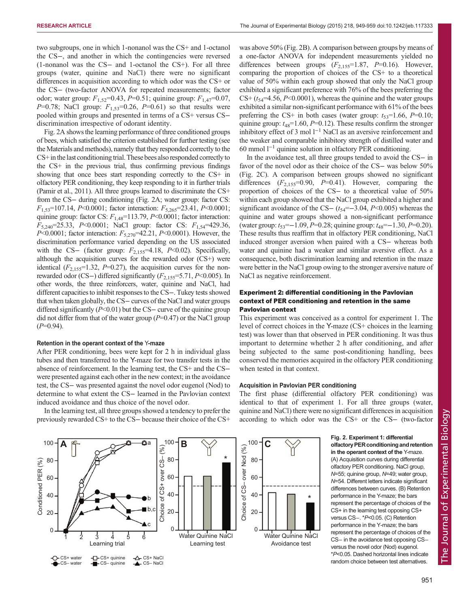<span id="page-2-0"></span>two subgroups, one in which 1-nonanol was the CS+ and 1-octanol the CS−, and another in which the contingencies were reversed (1-nonanol was the CS− and 1-octanol the CS+). For all three groups (water, quinine and NaCl) there were no significant differences in acquisition according to which odor was the CS+ or the CS− (two-factor ANOVA for repeated measurements; factor odor; water group:  $F_{1,52}$ =0.43, P=0.51; quinine group:  $F_{1,47}$ =0.07,  $P=0.78$ ; NaCl group:  $F_{1,53}=0.26$ ,  $P=0.61$ ) so that results were pooled within groups and presented in terms of a CS+ versus CS− discrimination irrespective of odorant identity.

Fig. 2A shows the learning performance of three conditioned groups of bees, which satisfied the criterion established for further testing (see the Materials and methods), namely that they responded correctly to the CS+ inthe last conditioning trial. These bees also responded correctlyto the CS+ in the previous trial, thus confirming previous findings showing that once bees start responding correctly to the CS+ in olfactory PER conditioning, they keep responding to it in further trials [\(Pamir et al., 2011](#page-10-0)). All three groups learned to discriminate the CS+ from the CS− during conditioning (Fig. 2A; water group: factor CS:  $F_{1,53}=107.14$ , P<0.0001; factor interaction:  $F_{5,265}=23.41$ , P<0.0001; quinine group: factor CS:  $F_{1,48}$ =113.79, P<0.0001; factor interaction:  $F_{5,240}$ =25.33, P<0.0001; NaCl group: factor CS:  $F_{1,54}$ =429.36, *P*<0.0001; factor interaction:  $F_{5,270}$ =42.21, *P*<0.0001). However, the discrimination performance varied depending on the US associated with the CS− (factor group:  $F_{2,155}$ =4.18, P<0.02). Specifically, although the acquisition curves for the rewarded odor (CS+) were identical  $(F_{2,155}=1.32, P=0.27)$ , the acquisition curves for the nonrewarded odor (CS−) differed significantly  $(F_{2,155}=5.71, P<0.005)$ . In other words, the three reinforcers, water, quinine and NaCl, had different capacities to inhibit responses to the CS−. Tukey tests showed that when taken globally, the CS− curves of the NaCl and water groups differed significantly ( $P<0.01$ ) but the CS− curve of the quinine group did not differ from that of the water group  $(P=0.47)$  or the NaCl group  $(P=0.94)$ .

#### Retention in the operant context of the Y-maze

After PER conditioning, bees were kept for 2 h in individual glass tubes and then transferred to the Y-maze for two transfer tests in the absence of reinforcement. In the learning test, the CS+ and the CS− were presented against each other in the new context; in the avoidance test, the CS− was presented against the novel odor eugenol (Nod) to determine to what extent the CS− learned in the Pavlovian context induced avoidance and thus choice of the novel odor.

In the learning test, all three groups showed a tendency to prefer the previously rewarded CS+ to the CS− because their choice of the CS+

was above 50% (Fig. 2B). A comparison between groups by means of a one-factor ANOVA for independent measurements yielded no differences between groups  $(F_{2,155}=1.87, P=0.16)$ . However, comparing the proportion of choices of the CS+ to a theoretical value of 50% within each group showed that only the NaCl group exhibited a significant preference with 76% of the bees preferring the  $CS+(t_{54}=4.56, P<0.0001)$ , whereas the quinine and the water groups exhibited a similar non-significant performance with 61% of the bees preferring the CS+ in both cases (water group:  $t_{53}=1.66$ ,  $P=0.10$ ; quinine group:  $t_{48}$ =1.60, P=0.12). These results confirm the stronger inhibitory effect of 3 mol l−<sup>1</sup> NaCl as an aversive reinforcement and the weaker and comparable inhibitory strength of distilled water and 60 mmol l−<sup>1</sup> quinine solution in olfactory PER conditioning.

In the avoidance test, all three groups tended to avoid the CS− in favor of the novel odor as their choice of the CS− was below 50% (Fig. 2C). A comparison between groups showed no significant differences  $(F_{2,155}=0.90, P=0.41)$ . However, comparing the proportion of choices of the CS− to a theoretical value of 50% within each group showed that the NaCl group exhibited a higher and significant avoidance of the CS−  $(t_{54}=-3.04, P<0.005)$  whereas the quinine and water groups showed a non-significant performance (water group:  $t_{53}$ =-1.09, P=0.28; quinine group:  $t_{48}$ =-1.30, P=0.20). These results thus reaffirm that in olfactory PER conditioning, NaCl induced stronger aversion when paired with a CS− whereas both water and quinine had a weaker and similar aversive effect. As a consequence, both discrimination learning and retention in the maze were better in the NaCl group owing to the stronger aversive nature of NaCl as negative reinforcement.

# Experiment 2: differential conditioning in the Pavlovian context of PER conditioning and retention in the same Pavlovian context

This experiment was conceived as a control for experiment 1. The level of correct choices in the Y-maze (CS+ choices in the learning test) was lower than that observed in PER conditioning. It was thus important to determine whether 2 h after conditioning, and after being subjected to the same post-conditioning handling, bees conserved the memories acquired in the olfactory PER conditioning when tested in that context.

## Acquisition in Pavlovian PER conditioning

The first phase (differential olfactory PER conditioning) was identical to that of experiment 1. For all three groups (water, quinine and NaCl) there were no significant differences in acquisition according to which odor was the CS+ or the CS− (two-factor



Fig. 2. Experiment 1: differential olfactory PER conditioning and retention in the operant context of the Y-maze. (A) Acquisition curves during differential olfactory PER conditioning. NaCl group, N=55; quinine group, N=49; water group, N=54. Different letters indicate significant differences between curves. (B) Retention performance in the Y-maze; the bars represent the percentage of choices of the CS+ in the learning test opposing CS+ versus CS−. \*P<0.05. (C) Retention performance in the Y-maze; the bars represent the percentage of choices of the CS− in the avoidance test opposing CS− versus the novel odor (Nod) eugenol. \*P<0.05. Dashed horizontal lines indicate random choice between test alternatives.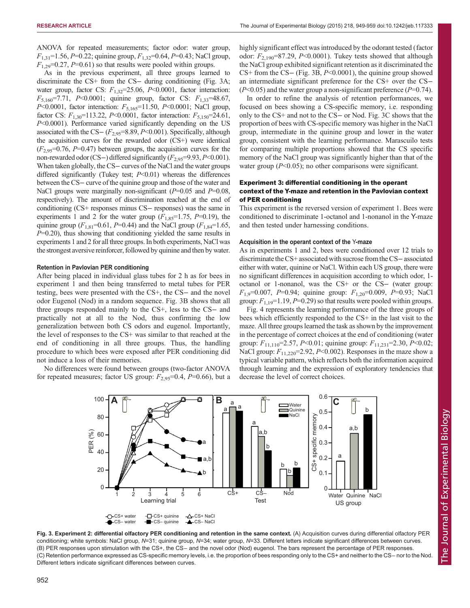<span id="page-3-0"></span>ANOVA for repeated measurements; factor odor: water group,  $F_{1,31}$ =1.56, P=0.22; quinine group,  $F_{1,32}$ =0.64, P=0.43; NaCl group,  $F_{1,29}=0.27, P=0.61$ ) so that results were pooled within groups.

As in the previous experiment, all three groups learned to discriminate the CS+ from the CS− during conditioning (Fig. 3A; water group, factor CS:  $F_{1,32}$ =25.06,  $P$ <0.0001, factor interaction:  $F_{5,160}$ =7.71, P<0.0001; quinine group, factor CS:  $F_{1,33}$ =48.67,  $P<0.0001$ , factor interaction:  $F<sub>5,165</sub>=11.50$ ,  $P<0.0001$ ; NaCl group, factor CS:  $F_{1,30}$ =113.22, P<0.0001, factor interaction:  $F_{5,150}$ =24.61, P<0.0001). Performance varied significantly depending on the US associated with the CS−  $(F_{2.95} = 8.89, P \le 0.001)$ . Specifically, although the acquisition curves for the rewarded odor (CS+) were identical  $(F_{2.95}=0.76, P=0.47)$  between groups, the acquisition curves for the non-rewarded odor (CS−) differed significantly  $(F_{2,95}=9.93, P<0.001)$ . When taken globally, the CS− curves of the NaCl and the water groups differed significantly (Tukey test;  $P<0.01$ ) whereas the differences between the CS− curve of the quinine group and those of the water and NaCl groups were marginally non-significant  $(P=0.05$  and  $P=0.08$ , respectively). The amount of discrimination reached at the end of conditioning (CS+ responses minus CS− responses) was the same in experiments 1 and 2 for the water group  $(F_{1,85}=1.75, P=0.19)$ , the quinine group ( $F_{1,81}$ =0.61, P=0.44) and the NaCl group ( $F_{1,84}$ =1.65,  $P=0.20$ ), thus showing that conditioning yielded the same results in experiments 1 and 2 for all three groups. In both experiments, NaCl was the strongest aversive reinforcer, followed by quinine and then by water.

# Retention in Pavlovian PER conditioning

After being placed in individual glass tubes for 2 h as for bees in experiment 1 and then being transferred to metal tubes for PER testing, bees were presented with the CS+, the CS− and the novel odor Eugenol (Nod) in a random sequence. Fig. 3B shows that all three groups responded mainly to the CS+, less to the CS− and practically not at all to the Nod, thus confirming the low generalization between both CS odors and eugenol. Importantly, the level of responses to the CS+ was similar to that reached at the end of conditioning in all three groups. Thus, the handling procedure to which bees were exposed after PER conditioning did not induce a loss of their memories.

No differences were found between groups (two-factor ANOVA for repeated measures; factor US group:  $F_{2,95}=0.4$ ,  $P=0.66$ ), but a highly significant effect was introduced by the odorant tested (factor odor:  $F_{2,190}$ =87.29, P<0.0001). Tukey tests showed that although the NaCl group exhibited significant retention as it discriminated the CS+ from the CS− (Fig. 3B, P<0.0001), the quinine group showed an intermediate significant preference for the CS+ over the CS−  $(P<0.05)$  and the water group a non-significant preference  $(P=0.74)$ .

In order to refine the analysis of retention performances, we focused on bees showing a CS-specific memory, i.e. responding only to the CS+ and not to the CS− or Nod. Fig. 3C shows that the proportion of bees with CS-specific memory was higher in the NaCl group, intermediate in the quinine group and lower in the water group, consistent with the learning performance. Marascuilo tests for comparing multiple proportions showed that the CS specific memory of the NaCl group was significantly higher than that of the water group  $(P<0.05)$ ; no other comparisons were significant.

# Experiment 3: differential conditioning in the operant context of the Y-maze and retention in the Pavlovian context of PER conditioning

This experiment is the reversed version of experiment 1. Bees were conditioned to discriminate 1-octanol and 1-nonanol in the Y-maze and then tested under harnessing conditions.

# Acquisition in the operant context of the Y-maze

As in experiments 1 and 2, bees were conditioned over 12 trials to discriminate the CS+ associated with sucrose from the CS–associated either with water, quinine or NaCl. Within each US group, there were no significant differences in acquisition according to which odor, 1 octanol or 1-nonanol, was the CS+ or the CS− (water group:  $F_{1,9}=0.007$ ,  $P=0.94$ ; quinine group:  $F_{1,20}=0.009$ ,  $P=0.93$ ; NaCl group:  $F_{1,19}=1.19, P=0.29$  so that results were pooled within groups.

[Fig. 4](#page-4-0) represents the learning performance of the three groups of bees which efficiently responded to the CS+ in the last visit to the maze. All three groups learned the task as shown by the improvement in the percentage of correct choices at the end of conditioning (water group:  $F_{11,110}$ =2.57, P<0.01; quinine group:  $F_{11,231}$ =2.30, P<0.02; NaCl group:  $F_{11,220}$ =2.92, P<0.002). Responses in the maze show a typical variable pattern, which reflects both the information acquired through learning and the expression of exploratory tendencies that decrease the level of correct choices.



Fig. 3. Experiment 2: differential olfactory PER conditioning and retention in the same context. (A) Acquisition curves during differential olfactory PER conditioning; white symbols: NaCl group, N=31; quinine group, N=34; water group, N=33. Different letters indicate significant differences between curves. (B) PER responses upon stimulation with the CS+, the CS− and the novel odor (Nod) eugenol. The bars represent the percentage of PER responses. (C) Retention performance expressed as CS-specific memory levels, i.e. the proportion of bees responding only to the CS+ and neither to the CS− nor to the Nod. Different letters indicate significant differences between curves.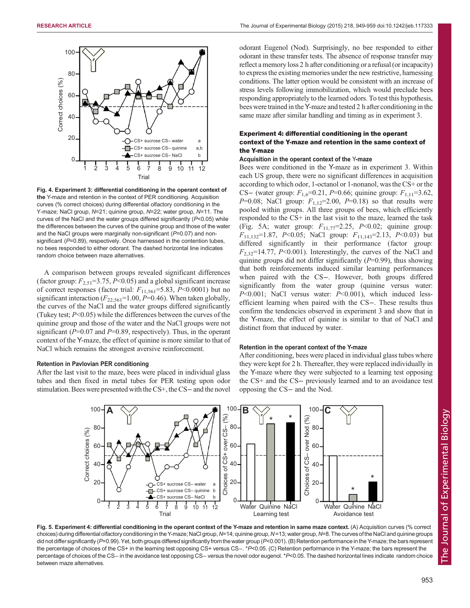<span id="page-4-0"></span>

Fig. 4. Experiment 3: differential conditioning in the operant context of the Y-maze and retention in the context of PER conditioning. Acquisition curves (% correct choices) during differential olfactory conditioning in the Y-maze; NaCl group, N=21; quinine group, N=22; water group, N=11. The curves of the NaCl and the water groups differed significantly (P<0.05) while the differences between the curves of the quinine group and those of the water and the NaCl groups were marginally non-significant (P=0.07) and nonsignificant (P=0.89), respectively. Once harnessed in the contention tubes, no bees responded to either odorant. The dashed horizontal line indicates random choice between maze alternatives.

A comparison between groups revealed significant differences (factor group:  $F_{2,51}$ =3.75, P<0.05) and a global significant increase of correct responses (factor trial:  $F_{11,561} = 5.83$ ,  $P < 0.0001$ ) but no significant interaction ( $F_{22,561}$ =1.00, P=0.46). When taken globally, the curves of the NaCl and the water groups differed significantly (Tukey test;  $P<0.05$ ) while the differences between the curves of the quinine group and those of the water and the NaCl groups were not significant ( $P=0.07$  and  $P=0.89$ , respectively). Thus, in the operant context of the Y-maze, the effect of quinine is more similar to that of NaCl which remains the strongest aversive reinforcement.

# Retention in Pavlovian PER conditioning

After the last visit to the maze, bees were placed in individual glass tubes and then fixed in metal tubes for PER testing upon odor stimulation. Bees were presented with the CS+, the CS−and the novel

odorant Eugenol (Nod). Surprisingly, no bee responded to either odorant in these transfer tests. The absence of response transfer may reflect a memory loss 2 h after conditioning or a refusal (or incapacity) to express the existing memories under the new restrictive, harnessing conditions. The latter option would be consistent with an increase of stress levels following immobilization, which would preclude bees responding appropriately to the learned odors. To test this hypothesis, bees were trained in theY-maze and tested 2 h after conditioning in the same maze after similar handling and timing as in experiment 3.

# Experiment 4: differential conditioning in the operant context of the Y-maze and retention in the same context of the Y-maze

#### Acquisition in the operant context of the Y-maze

Bees were conditioned in the Y-maze as in experiment 3. Within each US group, there were no significant differences in acquisition according to which odor, 1-octanol or 1-nonanol, was the CS+ or the CS− (water group:  $F_{1,6}$ =0.21, P=0.66; quinine group:  $F_{1,11}$ =3.62, P=0.08; NaCl group:  $F_{1,12}$ =2.00, P=0.18) so that results were pooled within groups. All three groups of bees, which efficiently responded to the CS+ in the last visit to the maze, learned the task (Fig. 5A; water group:  $F_{11,77}$ =2.25,  $P$  < 0.02; quinine group:  $F_{11,132}$ =1.87, P<0.05; NaCl group:  $F_{11,143}$ =2.13, P<0.03) but differed significantly in their performance (factor group:  $F_{2,32}$ =14.77, P<0.001). Interestingly, the curves of the NaCl and quinine groups did not differ significantly  $(P=0.99)$ , thus showing that both reinforcements induced similar learning performances when paired with the CS−. However, both groups differed significantly from the water group (quinine versus water: P<0.001; NaCl versus water: P<0.001), which induced lessefficient learning when paired with the CS−. These results thus confirm the tendencies observed in experiment 3 and show that in the Y-maze, the effect of quinine is similar to that of NaCl and distinct from that induced by water.

## Retention in the operant context of the Y-maze

After conditioning, bees were placed in individual glass tubes where they were kept for 2 h. Thereafter, they were replaced individually in the Y-maze where they were subjected to a learning test opposing the CS+ and the CS− previously learned and to an avoidance test opposing the CS− and the Nod.



Fig. 5. Experiment 4: differential conditioning in the operant context of the Y-maze and retention in same maze context. (A) Acquisition curves (% correct choices) during differential olfactory conditioning in the Y-maze; NaCl group, N=14; quinine group, N=13; water group, N=8. The curves of the NaCl and quinine groups did not differ significantly (P=0.99). Yet, both groups differed significantly from the water group (P<0.001). (B) Retention performance in the Y-maze; the bars represent the percentage of choices of the CS+ in the learning test opposing CS+ versus CS−. \*P<0.05. (C) Retention performance in the Y-maze; the bars represent the percentage of choices of the CS− in the avoidance test opposing CS− versus the novel odor eugenol. \*P<0.05. The dashed horizontal lines indicate random choice between maze alternatives.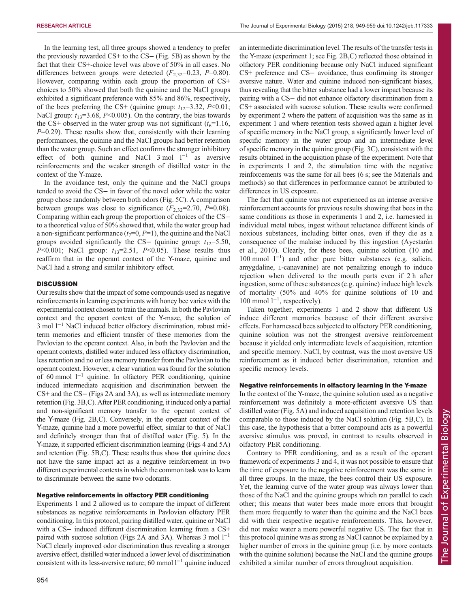In the learning test, all three groups showed a tendency to prefer the previously rewarded CS+ to the CS− [\(Fig. 5](#page-4-0)B) as shown by the fact that their CS+-choice level was above of 50% in all cases. No differences between groups were detected  $(F_{2,32}=0.23, P=0.80)$ . However, comparing within each group the proportion of CS+ choices to 50% showed that both the quinine and the NaCl groups exhibited a significant preference with 85% and 86%, respectively, of the bees preferring the CS+ (quinine group:  $t_{12}=3.32$ ,  $P<0.01$ ; NaCl group:  $t_{13}=3.68$ , P<0.005). On the contrary, the bias towards the CS+ observed in the water group was not significant  $(t_6=1.16,$  $P=0.29$ ). These results show that, consistently with their learning performances, the quinine and the NaCl groups had better retention than the water group. Such an effect confirms the stronger inhibitory effect of both quinine and NaCl  $3 \text{ mol}$  l<sup>−1</sup> as aversive reinforcements and the weaker strength of distilled water in the context of the Y-maze.

In the avoidance test, only the quinine and the NaCl groups tended to avoid the CS− in favor of the novel odor while the water group chose randomly between both odors ([Fig. 5](#page-4-0)C). A comparison between groups was close to significance  $(F_{2,32}=2.70, P=0.08)$ . Comparing within each group the proportion of choices of the CS− to a theoretical value of 50% showed that, while the water group had a non-significant performance  $(t_7=0, P=1)$ , the quinine and the NaCl groups avoided significantly the CS− (quinine group:  $t_{12}$ =5.50,  $P<0.001$ ; NaCl group:  $t_{13}=2.51$ ,  $P<0.05$ ). These results thus reaffirm that in the operant context of the Y-maze, quinine and NaCl had a strong and similar inhibitory effect.

# **DISCUSSION**

Our results show that the impact of some compounds used as negative reinforcements in learning experiments with honey bee varies with the experimental context chosen to train the animals. In both the Pavlovian context and the operant context of the Y-maze, the solution of 3 mol l<sup>−1</sup> NaCl induced better olfactory discrimination, robust midterm memories and efficient transfer of these memories from the Pavlovian to the operant context. Also, in both the Pavlovian and the operant contexts, distilled water induced less olfactory discrimination, less retention and no or less memory transfer from the Pavlovian to the operant context. However, a clear variation was found for the solution of 60 mmol l−<sup>1</sup> quinine. In olfactory PER conditioning, quinine induced intermediate acquisition and discrimination between the CS+ and the CS− ([Figs 2](#page-2-0)A and [3](#page-3-0)A), as well as intermediate memory retention ([Fig. 3](#page-3-0)B,C). After PER conditioning, it induced only a partial and non-significant memory transfer to the operant context of the Y-maze [\(Fig. 2B](#page-2-0),C). Conversely, in the operant context of the Y-maze, quinine had a more powerful effect, similar to that of NaCl and definitely stronger than that of distilled water [\(Fig. 5](#page-4-0)). In the Y-maze, it supported efficient discrimination learning ([Figs 4](#page-4-0) and [5](#page-4-0)A) and retention ([Fig. 5B](#page-4-0),C). These results thus show that quinine does not have the same impact act as a negative reinforcement in two different experimental contexts in which the common task was to learn to discriminate between the same two odorants.

# Negative reinforcements in olfactory PER conditioning

Experiments 1 and 2 allowed us to compare the impact of different substances as negative reinforcements in Pavlovian olfactory PER conditioning. In this protocol, pairing distilled water, quinine or NaCl with a CS− induced different discrimination learning from a CS+ paired with sucrose solution ([Figs 2](#page-2-0)A and [3](#page-3-0)A). Whereas 3 mol  $1^{-1}$ NaCl clearly improved odor discrimination thus revealing a stronger aversive effect, distilled water induced a lower level of discrimination consistent with its less-aversive nature; 60 mmol l−<sup>1</sup> quinine induced

an intermediate discrimination level. The results of the transfer tests in the Y-maze (experiment 1; see [Fig. 2](#page-2-0)B,C) reflected those obtained in olfactory PER conditioning because only NaCl induced significant CS+ preference and CS− avoidance, thus confirming its stronger aversive nature. Water and quinine induced non-significant biases, thus revealing that the bitter substance had a lower impact because its pairing with a CS− did not enhance olfactory discrimination from a CS+ associated with sucrose solution. These results were confirmed by experiment 2 where the pattern of acquisition was the same as in experiment 1 and where retention tests showed again a higher level of specific memory in the NaCl group, a significantly lower level of specific memory in the water group and an intermediate level of specific memory in the quinine group ([Fig. 3](#page-3-0)C), consistent with the results obtained in the acquisition phase of the experiment. Note that in experiments 1 and 2, the stimulation time with the negative reinforcements was the same for all bees (6 s; see the Materials and methods) so that differences in performance cannot be attributed to differences in US exposure.

The fact that quinine was not experienced as an intense aversive reinforcement accounts for previous results showing that bees in the same conditions as those in experiments 1 and 2, i.e. harnessed in individual metal tubes, ingest without reluctance different kinds of noxious substances, including bitter ones, even if they die as a consequence of the malaise induced by this ingestion [\(Ayestarán](#page-9-0) [et al., 2010](#page-9-0)). Clearly, for these bees, quinine solution (10 and 100 mmol l−<sup>1</sup> ) and other pure bitter substances (e.g. salicin, amygdaline, L-canavanine) are not penalizing enough to induce rejection when delivered to the mouth parts even if 2 h after ingestion, some of these substances (e.g. quinine) induce high levels of mortality (50% and 40% for quinine solutions of 10 and 100 mmol l−<sup>1</sup> , respectively).

Taken together, experiments 1 and 2 show that different US induce different memories because of their different aversive effects. For harnessed bees subjected to olfactory PER conditioning, quinine solution was not the strongest aversive reinforcement because it yielded only intermediate levels of acquisition, retention and specific memory. NaCl, by contrast, was the most aversive US reinforcement as it induced better discrimination, retention and specific memory levels.

# Negative reinforcements in olfactory learning in the Y-maze

In the context of the Y-maze, the quinine solution used as a negative reinforcement was definitely a more-efficient aversive US than distilled water ([Fig. 5](#page-4-0)A) and induced acquisition and retention levels comparable to those induced by the NaCl solution [\(Fig. 5B](#page-4-0),C). In this case, the hypothesis that a bitter compound acts as a powerful aversive stimulus was proved, in contrast to results observed in olfactory PER conditioning.

Contrary to PER conditioning, and as a result of the operant framework of experiments 3 and 4, it was not possible to ensure that the time of exposure to the negative reinforcement was the same in all three groups. In the maze, the bees control their US exposure. Yet, the learning curve of the water group was always lower than those of the NaCl and the quinine groups which ran parallel to each other; this means that water bees made more errors that brought them more frequently to water than the quinine and the NaCl bees did with their respective negative reinforcements. This, however, did not make water a more powerful negative US. The fact that in this protocol quinine was as strong as NaCl cannot be explained by a higher number of errors in the quinine group (i.e. by more contacts with the quinine solution) because the NaCl and the quinine groups exhibited a similar number of errors throughout acquisition.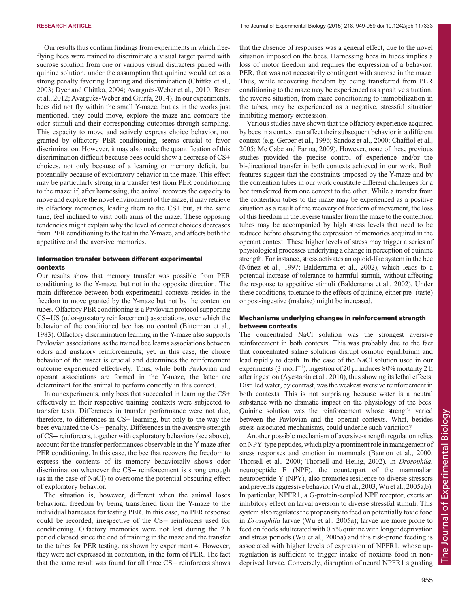Our results thus confirm findings from experiments in which freeflying bees were trained to discriminate a visual target paired with sucrose solution from one or various visual distracters paired with quinine solution, under the assumption that quinine would act as a strong penalty favoring learning and discrimination ([Chittka et al.,](#page-9-0) [2003](#page-9-0); Dyer and Chittka, 2004; Avarguès-Weber et al., 2010; [Reser](#page-10-0) [et al., 2012;](#page-10-0) Avarguès-Weber and Giurfa, 2014). In our experiments, bees did not fly within the small Y-maze, but as in the works just mentioned, they could move, explore the maze and compare the odor stimuli and their corresponding outcomes through sampling. This capacity to move and actively express choice behavior, not granted by olfactory PER conditioning, seems crucial to favor discrimination. However, it may also make the quantification of this discrimination difficult because bees could show a decrease of CS+ choices, not only because of a learning or memory deficit, but potentially because of exploratory behavior in the maze. This effect may be particularly strong in a transfer test from PER conditioning to the maze: if, after harnessing, the animal recovers the capacity to move and explore the novel environment of the maze, it may retrieve its olfactory memories, leading them to the CS+ but, at the same time, feel inclined to visit both arms of the maze. These opposing tendencies might explain why the level of correct choices decreases from PER conditioning to the test in the Y-maze, and affects both the appetitive and the aversive memories.

# Information transfer between different experimental contexts

Our results show that memory transfer was possible from PER conditioning to the Y-maze, but not in the opposite direction. The main difference between both experimental contexts resides in the freedom to move granted by the Y-maze but not by the contention tubes. Olfactory PER conditioning is a Pavlovian protocol supporting CS−US (odor-gustatory reinforcement) associations, over which the behavior of the conditioned bee has no control [\(Bitterman et al.,](#page-9-0) [1983\)](#page-9-0). Olfactory discrimination learning in the Y-maze also supports Pavlovian associations as the trained bee learns associations between odors and gustatory reinforcements; yet, in this case, the choice behavior of the insect is crucial and determines the reinforcement outcome experienced effectively. Thus, while both Pavlovian and operant associations are formed in the Y-maze, the latter are determinant for the animal to perform correctly in this context.

In our experiments, only bees that succeeded in learning the CS+ effectively in their respective training contexts were subjected to transfer tests. Differences in transfer performance were not due, therefore, to differences in CS+ learning, but only to the way the bees evaluated the CS− penalty. Differences in the aversive strength of CS− reinforcers, together with exploratory behaviors (see above), account for the transfer performances observable in the Y-maze after PER conditioning. In this case, the bee that recovers the freedom to express the contents of its memory behaviorally shows odor discrimination whenever the CS− reinforcement is strong enough (as in the case of NaCl) to overcome the potential obscuring effect of exploratory behavior.

The situation is, however, different when the animal loses behavioral freedom by being transferred from the Y-maze to the individual harnesses for testing PER. In this case, no PER response could be recorded, irrespective of the CS− reinforcers used for conditioning. Olfactory memories were not lost during the 2 h period elapsed since the end of training in the maze and the transfer to the tubes for PER testing, as shown by experiment 4. However, they were not expressed in contention, in the form of PER. The fact that the same result was found for all three CS− reinforcers shows

that the absence of responses was a general effect, due to the novel situation imposed on the bees. Harnessing bees in tubes implies a loss of motor freedom and requires the expression of a behavior, PER, that was not necessarily contingent with sucrose in the maze. Thus, while recovering freedom by being transferred from PER conditioning to the maze may be experienced as a positive situation, the reverse situation, from maze conditioning to immobilization in the tubes, may be experienced as a negative, stressful situation inhibiting memory expression.

Various studies have shown that the olfactory experience acquired by bees in a context can affect their subsequent behavior in a different context (e.g. [Gerber et al., 1996;](#page-9-0) [Sandoz et al., 2000;](#page-10-0) [Chaffiol et al.,](#page-9-0) [2005; Mc Cabe and Farina, 2009](#page-9-0)). However, none of these previous studies provided the precise control of experience and/or the bi-directional transfer in both contexts achieved in our work. Both features suggest that the constraints imposed by the Y-maze and by the contention tubes in our work constitute different challenges for a bee transferred from one context to the other. While a transfer from the contention tubes to the maze may be experienced as a positive situation as a result of the recovery of freedom of movement, the loss of this freedom in the reverse transfer from the maze to the contention tubes may be accompanied by high stress levels that need to be reduced before observing the expression of memories acquired in the operant context. These higher levels of stress may trigger a series of physiological processes underlying a change in perception of quinine strength. For instance, stress activates an opioid-like system in the bee [\(Núñez et al., 1997;](#page-10-0) [Balderrama et al., 2002](#page-9-0)), which leads to a potential increase of tolerance to harmful stimuli, without affecting the response to appetitive stimuli [\(Balderrama et al., 2002](#page-9-0)). Under these conditions, tolerance to the effects of quinine, either pre- (taste) or post-ingestive (malaise) might be increased.

# Mechanisms underlying changes in reinforcement strength between contexts

The concentrated NaCl solution was the strongest aversive reinforcement in both contexts. This was probably due to the fact that concentrated saline solutions disrupt osmotic equilibrium and lead rapidly to death. In the case of the NaCl solution used in our experiments (3 mol 1<sup>-1</sup>), ingestion of 20 μl induces 80% mortality 2 h after ingestion ([Ayestarán et al., 2010](#page-9-0)), thus showing its lethal effects. Distilled water, by contrast, was the weakest aversive reinforcement in both contexts. This is not surprising because water is a neutral substance with no dramatic impact on the physiology of the bees. Quinine solution was the reinforcement whose strength varied between the Pavlovian and the operant contexts. What, besides stress-associated mechanisms, could underlie such variation?

Another possible mechanism of aversive-strength regulation relies on NPY-type peptides, which play a prominent role in management of stress responses and emotion in mammals [\(Bannon et al., 2000](#page-9-0); [Thorsell et al., 2000](#page-10-0); [Thorsell and Heilig, 2002](#page-10-0)). In Drosophila, neuropeptide F (NPF), the counterpart of the mammalian neuropeptide Y (NPY), also promotes resilience to diverse stressors and prevents aggressive behavior [\(Wu et al., 2003](#page-10-0), [Wu et al., 2005a,b\)](#page-10-0). In particular, NPFR1, a G-protein-coupled NPF receptor, exerts an inhibitory effect on larval aversion to diverse stressful stimuli. This system also regulates the propensity to feed on potentially toxic food in Drosophila larvae [\(Wu et al., 2005a](#page-10-0)); larvae are more prone to feed on foods adulterated with 0.5% quinine with longer deprivation and stress periods ([Wu et al., 2005a\)](#page-10-0) and this risk-prone feeding is associated with higher levels of expression of NPFR1, whose upregulation is sufficient to trigger intake of noxious food in nondeprived larvae. Conversely, disruption of neural NPFR1 signaling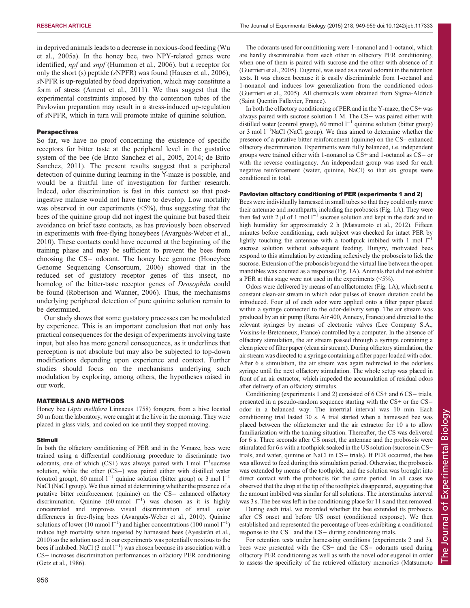in deprived animals leads to a decrease in noxious-food feeding [\(Wu](#page-10-0) [et al., 2005a\)](#page-10-0). In the honey bee, two NPY-related genes were identified, npf and snpf ([Hummon et al., 2006\)](#page-9-0), but a receptor for only the short (s) peptide (sNPFR) was found ([Hauser et al., 2006](#page-9-0)); sNPFR is up-regulated by food deprivation, which may constitute a form of stress ([Ament et al., 2011\)](#page-9-0). We thus suggest that the experimental constraints imposed by the contention tubes of the Pavlovian preparation may result in a stress-induced up-regulation of sNPFR, which in turn will promote intake of quinine solution.

#### **Perspectives**

So far, we have no proof concerning the existence of specific receptors for bitter taste at the peripheral level in the gustative system of the bee ([de Brito Sanchez et al., 2005](#page-9-0), 2014; [de Brito](#page-9-0) [Sanchez, 2011](#page-9-0)). The present results suggest that a peripheral detection of quinine during learning in the Y-maze is possible, and would be a fruitful line of investigation for further research. Indeed, odor discrimination is fast in this context so that postingestive malaise would not have time to develop. Low mortality was observed in our experiments  $(\leq 5\%)$ , thus suggesting that the bees of the quinine group did not ingest the quinine but based their avoidance on brief taste contacts, as has previously been observed in experiments with free-flying honeybees [\(Avargues-Weber et al.,](#page-9-0) [2010](#page-9-0)). These contacts could have occurred at the beginning of the training phase and may be sufficient to prevent the bees from choosing the CS− odorant. The honey bee genome ([Honeybee](#page-9-0) [Genome Sequencing Consortium, 2006\)](#page-9-0) showed that in the reduced set of gustatory receptor genes of this insect, no homolog of the bitter-taste receptor genes of Drosophila could be found ([Robertson and Wanner, 2006\)](#page-10-0). Thus, the mechanisms underlying peripheral detection of pure quinine solution remain to be determined.

Our study shows that some gustatory processes can be modulated by experience. This is an important conclusion that not only has practical consequences for the design of experiments involving taste input, but also has more general consequences, as it underlines that perception is not absolute but may also be subjected to top-down modifications depending upon experience and context. Further studies should focus on the mechanisms underlying such modulation by exploring, among others, the hypotheses raised in our work.

# MATERIALS AND METHODS

Honey bee (Apis mellifera Linnaeus 1758) foragers, from a hive located 50 m from the laboratory, were caught at the hive in the morning. They were placed in glass vials, and cooled on ice until they stopped moving.

# Stimuli

In both the olfactory conditioning of PER and in the Y-maze, bees were trained using a differential conditioning procedure to discriminate two odorants, one of which (CS+) was always paired with 1 mol l<sup>-1</sup>sucrose solution, while the other (CS−) was paired either with distilled water (control group), 60 mmol  $1^{-1}$  quinine solution (bitter group) or 3 mol  $1^{-1}$ NaCl (NaCl group). We thus aimed at determining whether the presence of a putative bitter reinforcement (quinine) on the CS− enhanced olfactory discrimination. Quinine  $(60 \text{ mmol } 1^{-1})$  was chosen as it is highly concentrated and improves visual discrimination of small color differences in free-flying bees (Avarguès-Weber et al., 2010). Quinine solutions of lower (10 mmol  $1^{-1}$ ) and higher concentrations (100 mmol  $1^{-1}$ ) induce high mortality when ingested by harnessed bees [\(Ayestarán et al.,](#page-9-0) [2010](#page-9-0)) so the solution used in our experiments was potentially noxious to the bees if imbibed. NaCl (3 mol  $l^{-1}$ ) was chosen because its association with a CS− increases discrimination performances in olfactory PER conditioning ([Getz et al., 1986](#page-9-0)).

The odorants used for conditioning were 1-nonanol and 1-octanol, which are hardly discriminable from each other in olfactory PER conditioning, when one of them is paired with sucrose and the other with absence of it ([Guerrieri et al., 2005](#page-9-0)). Eugenol, was used as a novel odorant in the retention tests. It was chosen because it is easily discriminable from 1-octanol and 1-nonanol and induces low generalization from the conditioned odors ([Guerrieri et al., 2005](#page-9-0)). All chemicals were obtained from Sigma-Aldrich (Saint Quentin Fallavier, France).

In both the olfactory conditioning of PER and in the Y-maze, the CS+ was always paired with sucrose solution 1 M. The CS− was paired either with distilled water (control group), 60 mmol  $1^{-1}$  quinine solution (bitter group) or 3 mol l<sup>-1</sup>NaCl (NaCl group). We thus aimed to determine whether the presence of a putative bitter reinforcement (quinine) on the CS– enhanced olfactory discrimination. Experiments were fully balanced, i.e. independent groups were trained either with 1-nonanol as CS+ and 1-octanol as CS− or with the reverse contingency. An independent group was used for each negative reinforcement (water, quinine, NaCl) so that six groups were conditioned in total.

## Pavlovian olfactory conditioning of PER (experiments 1 and 2)

Bees were individually harnessed in small tubes so that they could only move their antennae and mouthparts, including the proboscis [\(Fig. 1A\)](#page-1-0). They were then fed with 2 µl of 1 mol  $l^{-1}$  sucrose solution and kept in the dark and in high humidity for approximately 2 h [\(Matsumoto et al., 2012\)](#page-9-0). Fifteen minutes before conditioning, each subject was checked for intact PER by lightly touching the antennae with a toothpick imbibed with 1 mol  $1^{-1}$ sucrose solution without subsequent feeding. Hungry, motivated bees respond to this stimulation by extending reflexively the proboscis to lick the sucrose. Extension of the proboscis beyond the virtual line between the open mandibles was counted as a response [\(Fig. 1A\)](#page-1-0). Animals that did not exhibit a PER at this stage were not used in the experiments  $(\leq 5\%)$ .

Odors were delivered by means of an olfactometer ([Fig. 1A](#page-1-0)), which sent a constant clean-air stream in which odor pulses of known duration could be introduced. Four µl of each odor were applied onto a filter paper placed within a syringe connected to the odor-delivery setup. The air stream was produced by an air pump (Rena Air 400, Annecy, France) and directed to the relevant syringes by means of electronic valves (Lee Company S.A., Voisins-le-Bretonneux, France) controlled by a computer. In the absence of olfactory stimulation, the air stream passed through a syringe containing a clean piece of filter paper (clean air stream). During olfactory stimulation, the air stream was directed to a syringe containing a filter paper loaded with odor. After 6 s stimulation, the air stream was again redirected to the odorless syringe until the next olfactory stimulation. The whole setup was placed in front of an air extractor, which impeded the accumulation of residual odors after delivery of an olfactory stimulus.

Conditioning (experiments 1 and 2) consisted of 6 CS+ and 6 CS− trials, presented in a pseudo-random sequence starting with the CS+ or the CS− odor in a balanced way. The intertrial interval was 10 min. Each conditioning trial lasted 30 s. A trial started when a harnessed bee was placed between the olfactometer and the air extractor for 10 s to allow familiarization with the training situation. Thereafter, the CS was delivered for 6 s. Three seconds after CS onset, the antennae and the proboscis were stimulated for 6 s with a toothpick soaked in the US solution (sucrose in CS+ trials, and water, quinine or NaCl in CS− trials). If PER occurred, the bee was allowed to feed during this stimulation period. Otherwise, the proboscis was extended by means of the toothpick, and the solution was brought into direct contact with the proboscis for the same period. In all cases we observed that the drop at the tip of the toothpick disappeared, suggesting that the amount imbibed was similar for all solutions. The interstimulus interval was 3 s. The bee was left in the conditioning place for 11 s and then removed.

During each trial, we recorded whether the bee extended its proboscis after CS onset and before US onset (conditioned response). We then established and represented the percentage of bees exhibiting a conditioned response to the CS+ and the CS− during conditioning trials.

For retention tests under harnessing conditions (experiments 2 and 3), bees were presented with the CS+ and the CS− odorants used during olfactory PER conditioning as well as with the novel odor eugenol in order to assess the specificity of the retrieved olfactory memories ([Matsumoto](#page-9-0)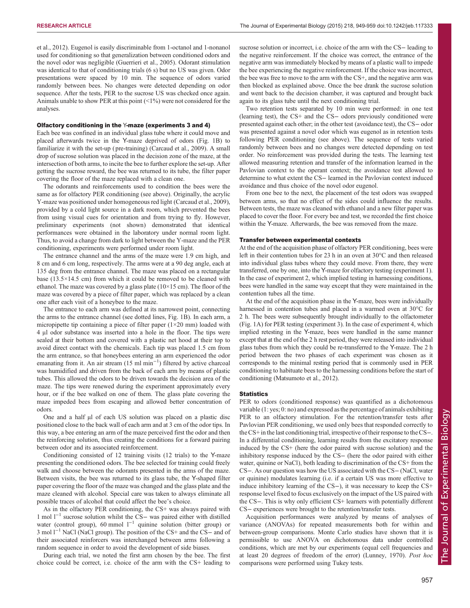[et al., 2012](#page-9-0)). Eugenol is easily discriminable from 1-octanol and 1-nonanol used for conditioning so that generalization between conditioned odors and the novel odor was negligible ([Guerrieri et al., 2005](#page-9-0)). Odorant stimulation was identical to that of conditioning trials (6 s) but no US was given. Odor presentations were spaced by 10 min. The sequence of odors varied randomly between bees. No changes were detected depending on odor sequence. After the tests, PER to the sucrose US was checked once again. Animals unable to show PER at this point (<1%) were not considered for the analyses.

## Olfactory conditioning in the Y-maze (experiments 3 and 4)

Each bee was confined in an individual glass tube where it could move and placed afterwards twice in the Y-maze deprived of odors (Fig. 1B) to familiarize it with the set-up ( pre-training) [\(Carcaud et al., 2009](#page-9-0)). A small drop of sucrose solution was placed in the decision zone of the maze, at the intersection of both arms, to incite the bee to further explore the set-up. After getting the sucrose reward, the bee was returned to its tube, the filter paper covering the floor of the maze replaced with a clean one.

The odorants and reinforcements used to condition the bees were the same as for olfactory PER conditioning (see above). Originally, the acrylic Y-maze was positioned under homogeneous red light [\(Carcaud et al., 2009](#page-9-0)), provided by a cold light source in a dark room, which prevented the bees from using visual cues for orientation and from trying to fly. However, preliminary experiments (not shown) demonstrated that identical performances were obtained in the laboratory under normal room light. Thus, to avoid a change from dark to light between the Y-maze and the PER conditioning, experiments were performed under room light.

The entrance channel and the arms of the maze were 1.9 cm high, and 8 cm and 6 cm long, respectively. The arms were at a 90 deg angle, each at 135 deg from the entrance channel. The maze was placed on a rectangular base (13.5×14.5 cm) from which it could be removed to be cleaned with ethanol. The maze was covered by a glass plate (10×15 cm). The floor of the maze was covered by a piece of filter paper, which was replaced by a clean one after each visit of a honeybee to the maze.

The entrance to each arm was defined at its narrowest point, connecting the arms to the entrance channel (see dotted lines, [Fig. 1B\)](#page-1-0). In each arm, a micropipette tip containing a piece of filter paper (1×20 mm) loaded with 4 μl odor substance was inserted into a hole in the floor. The tips were sealed at their bottom and covered with a plastic net hood at their top to avoid direct contact with the chemicals. Each tip was placed 1.5 cm from the arm entrance, so that honeybees entering an arm experienced the odor emanating from it. An air stream (15 ml min<sup>-1</sup>) filtered by active charcoal was humidified and driven from the back of each arm by means of plastic tubes. This allowed the odors to be driven towards the decision area of the maze. The tips were renewed during the experiment approximately every hour, or if the bee walked on one of them. The glass plate covering the maze impeded bees from escaping and allowed better concentration of odors.

One and a half µl of each US solution was placed on a plastic disc positioned close to the back wall of each arm and at 3 cm of the odor tips. In this way, a bee entering an arm of the maze perceived first the odor and then the reinforcing solution, thus creating the conditions for a forward pairing between odor and its associated reinforcement.

Conditioning consisted of 12 training visits (12 trials) to the Y-maze presenting the conditioned odors. The bee selected for training could freely walk and choose between the odorants presented in the arms of the maze. Between visits, the bee was returned to its glass tube, the Y-shaped filter paper covering the floor of the maze was changed and the glass plate and the maze cleaned with alcohol. Special care was taken to always eliminate all possible traces of alcohol that could affect the bee's choice.

As in the olfactory PER conditioning, the CS+ was always paired with 1 mol  $1^{-1}$  sucrose solution whilst the CS− was paired either with distilled water (control group), 60 mmol  $1^{-1}$  quinine solution (bitter group) or 3 mol l<sup>−1</sup> NaCl (NaCl group). The position of the CS+ and the CS− and of their associated reinforcers was interchanged between arms following a random sequence in order to avoid the development of side biases.

During each trial, we noted the first arm chosen by the bee. The first choice could be correct, i.e. choice of the arm with the CS+ leading to sucrose solution or incorrect, i.e. choice of the arm with the CS− leading to the negative reinforcement. If the choice was correct, the entrance of the negative arm was immediately blocked by means of a plastic wall to impede the bee experiencing the negative reinforcement. If the choice was incorrect, the bee was free to move to the arm with the CS+, and the negative arm was then blocked as explained above. Once the bee drank the sucrose solution and went back to the decision chamber, it was captured and brought back again to its glass tube until the next conditioning trial.

Two retention tests separated by 10 min were performed: in one test (learning test), the CS+ and the CS− odors previously conditioned were presented against each other; in the other test (avoidance test), the CS− odor was presented against a novel odor which was eugenol as in retention tests following PER conditioning (see above). The sequence of tests varied randomly between bees and no changes were detected depending on test order. No reinforcement was provided during the tests. The learning test allowed measuring retention and transfer of the information learned in the Pavlovian context to the operant context; the avoidance test allowed to determine to what extent the CS− learned in the Pavlovian context induced avoidance and thus choice of the novel odor eugenol.

From one bee to the next, the placement of the test odors was swapped between arms, so that no effect of the sides could influence the results. Between tests, the maze was cleaned with ethanol and a new filter paper was placed to cover the floor. For every bee and test, we recorded the first choice within the Y-maze. Afterwards, the bee was removed from the maze.

#### Transfer between experimental contexts

At the end of the acquisition phase of olfactory PER conditioning, bees were left in their contention tubes for 23 h in an oven at 30°C and then released into individual glass tubes where they could move. From there, they were transferred, one by one, into the Y-maze for olfactory testing (experiment 1). In the case of experiment 2, which implied testing in harnessing conditions, bees were handled in the same way except that they were maintained in the contention tubes all the time.

At the end of the acquisition phase in the Y-maze, bees were individually harnessed in contention tubes and placed in a warmed oven at 30°C for 2 h. The bees were subsequently brought individually to the olfactometer ([Fig. 1](#page-1-0)A) for PER testing (experiment 3). In the case of experiment 4, which implied retesting in the Y-maze, bees were handled in the same manner except that at the end of the 2 h rest period, they were released into individual glass tubes from which they could be re-transferred to the Y-maze. The 2 h period between the two phases of each experiment was chosen as it corresponds to the minimal resting period that is commonly used in PER conditioning to habituate bees to the harnessing conditions before the start of conditioning [\(Matsumoto et al., 2012](#page-9-0)).

## **Statistics**

PER to odors (conditioned response) was quantified as a dichotomous variable (1: yes; 0: no) and expressed as the percentage of animals exhibiting PER to an olfactory stimulation. For the retention/transfer tests after Pavlovian PER conditioning, we used only bees that responded correctly to the CS+ in the last conditioning trial, irrespective of their response to the CS−. In a differential conditioning, learning results from the excitatory response induced by the CS+ (here the odor paired with sucrose solution) and the inhibitory response induced by the CS− (here the odor paired with either water, quinine or NaCl), both leading to discrimination of the CS+ from the CS−. As our question was how the US associated with the CS− (NaCl, water or quinine) modulates learning (i.e. if a certain US was more effective to induce inhibitory learning of the CS−), it was necessary to keep the CS+ response level fixed to focus exclusively on the impact of the US paired with the CS−. This is why only efficient CS+ learners with potentially different CS− experiences were brought to the retention/transfer tests.

Acquisition performances were analyzed by means of analyses of variance (ANOVAs) for repeated measurements both for within and between-group comparisons. Monte Carlo studies have shown that it is permissible to use ANOVA on dichotomous data under controlled conditions, which are met by our experiments (equal cell frequencies and at least 20 degrees of freedom of the error) ([Lunney, 1970](#page-9-0)). Post hoc comparisons were performed using Tukey tests.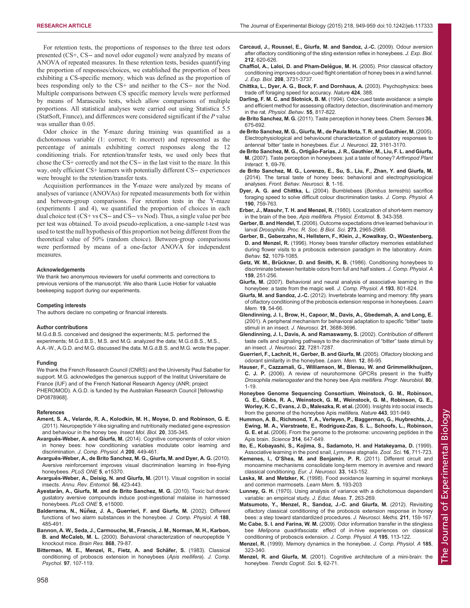<span id="page-9-0"></span>For retention tests, the proportions of responses to the three test odors presented (CS+, CS− and novel odor eugenol) were analyzed by means of ANOVA of repeated measures. In these retention tests, besides quantifying the proportion of responses/choices, we established the proportion of bees exhibiting a CS-specific memory, which was defined as the proportion of bees responding only to the CS+ and neither to the CS− nor the Nod. Multiple comparisons between CS specific memory levels were performed by means of Marascuilo tests, which allow comparisons of multiple proportions. All statistical analyses were carried out using Statistica 5.5 (StatSoft, France), and differences were considered significant if the P value was smaller than 0.05.

Odor choice in the Y-maze during training was quantified as a dichotomous variable (1: correct; 0: incorrect) and represented as the percentage of animals exhibiting correct responses along the 12 conditioning trials. For retention/transfer tests, we used only bees that chose the CS+ correctly and not the CS− in the last visit to the maze. In this way, only efficient CS+ learners with potentially different CS− experiences were brought to the retention/transfer tests.

Acquisition performances in the Y-maze were analyzed by means of analyses of variance (ANOVAs) for repeated measurements both for within and between-group comparisons. For retention tests in the Y-maze (experiments 1 and 4), we quantified the proportion of choices in each dual choice test (CS+ vs CS− and CS− vs Nod). Thus, a single value per bee per test was obtained. To avoid pseudo-replication, a one-sample t-test was used to test the null hypothesis of this proportion not being different from the theoretical value of 50% (random choice). Between-group comparisons were performed by means of a one-factor ANOVA for independent measures.

#### Acknowledgements

We thank two anonymous reviewers for useful comments and corrections to previous versions of the manuscript. We also thank Lucie Hotier for valuable beekeeping support during our experiments.

#### Competing interests

The authors declare no competing or financial interests.

#### Author contributions

M.G.d.B.S. conceived and designed the experiments; M.S. performed the experiments; M.G.d.B.S., M.S. and M.G. analyzed the data; M.G.d.B.S., M.S., A.A.-W., A.G.D. and M.G. discussed the data. M.G.d.B.S. and M.G. wrote the paper.

#### Funding

We thank the French Research Council (CNRS) and the University Paul Sabatier for support. M.G. acknowledges the generous support of the Institut Universitaire de France (IUF) and of the French National Research Agency (ANR; project PHEROMOD). A.G.D. is funded by the Australian Research Council [fellowship DP0878968].

#### References

- [Ament, S. A., Velarde, R. A., Kolodkin, M. H., Moyse, D. and Robinson, G. E.](http://dx.doi.org/10.1111/j.1365-2583.2011.01068.x) [\(2011\). Neuropeptide Y-like signalling and nutritionally mediated gene expression](http://dx.doi.org/10.1111/j.1365-2583.2011.01068.x) [and behaviour in the honey bee.](http://dx.doi.org/10.1111/j.1365-2583.2011.01068.x) Insect Mol. Biol. 20, 335-345.
- Avarguès-Weber, A. and Giurfa, M. [\(2014\). Cognitive components of color vision](http://dx.doi.org/10.1007/s00359-014-0909-z) [in honey bees: how conditioning variables modulate color learning and](http://dx.doi.org/10.1007/s00359-014-0909-z) discrimination. [J. Comp. Physiol. A](http://dx.doi.org/10.1007/s00359-014-0909-z) 200, 449-461.
- Avarguès-Weber, A., de Brito Sanchez, M. G., Giurfa, M. and Dyer, A. G. (2010). [Aversive reinforcement improves visual discrimination learning in free-flying](http://dx.doi.org/10.1371/journal.pone.0015370) [honeybees.](http://dx.doi.org/10.1371/journal.pone.0015370) PLoS ONE 5, e15370.
- Avarguès-Weber, A., Deisig, N. and Giurfa, M. (2011). Visual cognition in social insects. [Annu. Rev. Entomol.](http://dx.doi.org/10.1146/annurev-ento-120709-144855) 56, 423-443.
- Ayestará[n, A., Giurfa, M. and de Brito Sanchez, M. G.](http://dx.doi.org/10.1371/journal.pone.0015000) (2010). Toxic but drank: [gustatory aversive compounds induce post-ingestional malaise in harnessed](http://dx.doi.org/10.1371/journal.pone.0015000) [honeybees.](http://dx.doi.org/10.1371/journal.pone.0015000) PLoS ONE 5, e15000.
- Balderrama, N., Núñ[ez, J. A., Guerrieri, F. and Giurfa, M.](http://dx.doi.org/10.1007/s00359-002-0321-y) (2002). Different [functions of two alarm substances in the honeybee.](http://dx.doi.org/10.1007/s00359-002-0321-y) J. Comp. Physiol. A 188, [485-491.](http://dx.doi.org/10.1007/s00359-002-0321-y)
- [Bannon, A. W., Seda, J., Carmouche, M., Francis, J. M., Norman, M. H., Karbon,](http://dx.doi.org/10.1016/S0006-8993(00)02285-X) B. and McCaleb, M. L. [\(2000\). Behavioral characterization of neuropeptide Y](http://dx.doi.org/10.1016/S0006-8993(00)02285-X) [knockout mice.](http://dx.doi.org/10.1016/S0006-8993(00)02285-X) Brain Res. 868, 79-87.
- [Bitterman, M. E., Menzel, R., Fietz, A. and Scha](http://dx.doi.org/10.1037/0735-7036.97.2.107)̈fer, S. (1983). Classical [conditioning of proboscis extension in honeybees \(](http://dx.doi.org/10.1037/0735-7036.97.2.107)Apis mellifera). J. Comp. Psychol. 97[, 107-119.](http://dx.doi.org/10.1037/0735-7036.97.2.107)
- [Carcaud, J., Roussel, E., Giurfa, M. and Sandoz, J.-C.](http://dx.doi.org/10.1242/jeb.026641) (2009). Odour aversion [after olfactory conditioning of the sting extension reflex in honeybees.](http://dx.doi.org/10.1242/jeb.026641) J. Exp. Biol. 212[, 620-626.](http://dx.doi.org/10.1242/jeb.026641)
- Chaffiol, A., Laloi, D. and Pham-Delègue, M. H. (2005). Prior classical olfactory [conditioning improves odour-cued flight orientation of honey bees in a wind tunnel.](http://dx.doi.org/10.1242/jeb.01796) J. Exp. Biol. 208[, 3731-3737.](http://dx.doi.org/10.1242/jeb.01796)
- [Chittka, L., Dyer, A. G., Bock, F. and Dornhaus, A.](http://dx.doi.org/10.1038/424388a) (2003). Psychophysics: bees [trade off foraging speed for accuracy.](http://dx.doi.org/10.1038/424388a) Nature 424, 388.
- Darling, F. M. C. and Slotnick, B. M. [\(1994\). Odor-cued taste avoidance: a simple](http://dx.doi.org/10.1016/0031-9384(94)90065-5) [and efficient method for assessing olfactory detection, discrimination and memory](http://dx.doi.org/10.1016/0031-9384(94)90065-5) in the rat. [Physiol. Behav.](http://dx.doi.org/10.1016/0031-9384(94)90065-5) 55, 817-822.
- de Brito Sanchez, M. G. [\(2011\). Taste perception in honey bees.](http://dx.doi.org/10.1093/chemse/bjr040) Chem. Senses 36, [675-692.](http://dx.doi.org/10.1093/chemse/bjr040)
- [de Brito Sanchez, M. G., Giurfa, M., de Paula Mota, T. R. and Gauthier, M.](http://dx.doi.org/10.1111/j.1460-9568.2005.04516.x) (2005). [Electrophysiological and behavioural characterization of gustatory responses to](http://dx.doi.org/10.1111/j.1460-9568.2005.04516.x) antennal 'bitter' [taste in honeybees.](http://dx.doi.org/10.1111/j.1460-9568.2005.04516.x) Eur. J. Neurosci. 22, 3161-3170.
- de Brito Sanchez, M. G., Ortigão-Farias, J. R., Gauthier, M., Liu, F. L. and Giurfa, ̃ M. [\(2007\). Taste perception in honeybees: just a taste of honey?](http://dx.doi.org/10.1007/s11829-007-9012-5) Arthropod Plant [Interact.](http://dx.doi.org/10.1007/s11829-007-9012-5) 1, 69-76.
- [de Brito Sanchez, M. G., Lorenzo, E., Su, S., Liu, F., Zhan, Y. and Giurfa, M.](http://dx.doi.org/10.3389/fnbeh.2014.00025) [\(2014\). The tarsal taste of honey bees: behavioral and electrophysiological](http://dx.doi.org/10.3389/fnbeh.2014.00025) analyses. [Front. Behav. Neurosci.](http://dx.doi.org/10.3389/fnbeh.2014.00025) 8, 1-16.
- [Dyer, A. G. and Chittka, L.](http://dx.doi.org/10.1007/s00359-004-0547-y) (2004). Bumblebees (Bombus terrestris) sacrifice [foraging speed to solve difficult colour discrimination tasks.](http://dx.doi.org/10.1007/s00359-004-0547-y) J. Comp. Physiol. A 190[, 759-763.](http://dx.doi.org/10.1007/s00359-004-0547-y)
- Erber, J., Masuhr, T. H. and Menzel, R. [\(1980\). Localization of short-term memory](http://dx.doi.org/10.1111/j.1365-3032.1980.tb00244.x) [in the brain of the bee,](http://dx.doi.org/10.1111/j.1365-3032.1980.tb00244.x) Apis mellifera. Physiol. Entomol. 5, 343-358.
- Gerber, B. and Hendel, T. [\(2006\). Outcome expectations drive learned behaviour in](http://dx.doi.org/10.1098/rspb.2006.3673) larval Drosophila. [Proc. R. Soc. B Biol. Sci.](http://dx.doi.org/10.1098/rspb.2006.3673) 273, 2965-2968.
- [Gerber, B., Geberzahn, N., Hellstern, F., Klein, J., Kowalksy, O., Wu](http://dx.doi.org/10.1006/anbe.1996.0255)̈estenberg, D. and Menzel, R. [\(1996\). Honey bees transfer olfactory memories established](http://dx.doi.org/10.1006/anbe.1996.0255) [during flower visits to a proboscis extension paradigm in the laboratory.](http://dx.doi.org/10.1006/anbe.1996.0255) Anim. Behav. 52[, 1079-1085.](http://dx.doi.org/10.1006/anbe.1996.0255)
- Getz, W. M., Brückner, D. and Smith, K. B. [\(1986\). Conditioning honeybees to](http://dx.doi.org/10.1007/BF00612307) [discriminate between heritable odors from full and half sisters.](http://dx.doi.org/10.1007/BF00612307) J. Comp. Physiol. A 159[, 251-256.](http://dx.doi.org/10.1007/BF00612307)
- Giurfa, M. [\(2007\). Behavioral and neural analysis of associative learning in the](http://dx.doi.org/10.1007/s00359-007-0235-9) [honeybee: a taste from the magic well.](http://dx.doi.org/10.1007/s00359-007-0235-9) J. Comp. Physiol. A 193, 801-824.
- Giurfa, M. and Sandoz, J.-C. [\(2012\). Invertebrate learning and memory: fifty years](http://dx.doi.org/10.1101/lm.024711.111) [of olfactory conditioning of the proboscis extension response in honeybees.](http://dx.doi.org/10.1101/lm.024711.111) Learn Mem. 19[, 54-66.](http://dx.doi.org/10.1101/lm.024711.111)
- Glendinning, J. I., Brow, H., Capoor, M., Davis, A., Gbedemah, A. and Long, E. (2001). A peripheral mechanism for behavioral adaptation to specific "bitter" taste stimuli in an insect. J. Neurosci. 21, 3688-3696.
- Glendinning, J. I., Davis, A. and Ramaswamy, S. (2002). Contribution of different taste cells and signaling pathways to the discrimination of "bitter" taste stimuli by an insect. J. Neurosci. 22, 7281-7287.
- [Guerrieri, F., Lachnit, H., Gerber, B. and Giurfa, M.](http://dx.doi.org/10.1101/lm.79305) (2005). Olfactory blocking and [odorant similarity in the honeybee.](http://dx.doi.org/10.1101/lm.79305) Learn. Mem. 12, 86-95.
- [Hauser, F., Cazzamali, G., Williamson, M., Blenau, W. and Grimmelikhuijzen,](http://dx.doi.org/10.1016/j.pneurobio.2006.07.005) C. J. P. [\(2006\). A review of neurohormone GPCRs present in the fruitfly](http://dx.doi.org/10.1016/j.pneurobio.2006.07.005) [Drosophila melanogaster](http://dx.doi.org/10.1016/j.pneurobio.2006.07.005) and the honey bee Apis mellifera. Progr. Neurobiol. 80, [1-19.](http://dx.doi.org/10.1016/j.pneurobio.2006.07.005)
- [Honeybee Genome Sequencing Consortium](http://dx.doi.org/10.1038/nature05260), Weinstock, G. M., Robinson, [G. E., Gibbs, R. A., Weinstock, G. M., Weinstock, G. M., Robinson, G. E.,](http://dx.doi.org/10.1038/nature05260) [Worley, K. C., Evans, J. D., Maleszka, R. et al.](http://dx.doi.org/10.1038/nature05260) (2006). Insights into social insects [from the genome of the honeybee Apis mellifera.](http://dx.doi.org/10.1038/nature05260) Nature 443, 931-949.
- [Hummon, A. B., Richmond, T. A., Verleyen, P., Baggerman, G., Huybrechts, J.,](http://dx.doi.org/10.1126/science.1124128) [Ewing, M. A., Vierstraete, E., Rodriguez-Zas, S. L., Schoofs, L., Robinson,](http://dx.doi.org/10.1126/science.1124128) G. E. et al. [\(2006\). From the genome to the proteome: uncovering peptides in the](http://dx.doi.org/10.1126/science.1124128) [Apis brain.](http://dx.doi.org/10.1126/science.1124128) Science 314, 647-649.
- [Ito, E., Kobayashi, S., Kojima, S., Sadamoto, H. and Hatakeyama, D.](http://dx.doi.org/10.2108/zsj.16.711) (1999). [Associative learning in the pond snail,](http://dx.doi.org/10.2108/zsj.16.711) Lymnaea stagnalis. Zool. Sci. 16, 711-723.

Kemenes, I., O'[Shea, M. and Benjamin, P. R.](http://dx.doi.org/10.1111/j.1460-9568.2010.07479.x) (2011). Different circuit and [monoamine mechanisms consolidate long-term memory in aversive and reward](http://dx.doi.org/10.1111/j.1460-9568.2010.07479.x) [classical conditioning.](http://dx.doi.org/10.1111/j.1460-9568.2010.07479.x) Eur. J. Neurosci. 33, 143-152.

- Laska, M. and Metzker, K. (1998). Food avoidance learning in squirrel monkeys and common marmosets. Learn Mem. 5, 193-203
- Lunney, G. H. [\(1970\). Using analysis of variance with a dichotomous dependent](http://dx.doi.org/10.1111/j.1745-3984.1970.tb00727.x) [variable: an empirical study.](http://dx.doi.org/10.1111/j.1745-3984.1970.tb00727.x) J. Educ. Meas. 7, 263-269.
- [Matsumoto, Y., Menzel, R., Sandoz, J.-C. and Giurfa, M.](http://dx.doi.org/10.1016/j.jneumeth.2012.08.018) (2012). Revisiting [olfactory classical conditioning of the proboscis extension response in honey](http://dx.doi.org/10.1016/j.jneumeth.2012.08.018) [bees: a step toward standardized procedures.](http://dx.doi.org/10.1016/j.jneumeth.2012.08.018) J. Neurosci. Meths. 211, 159-167.
- Mc Cabe, S. I. and Farina, W. M. [\(2009\). Odor information transfer in the stingless](http://dx.doi.org/10.1007/s00359-008-0391-6) bee Melipona quadrifasciata[: effect of in-hive experiences on classical](http://dx.doi.org/10.1007/s00359-008-0391-6) [conditioning of proboscis extension.](http://dx.doi.org/10.1007/s00359-008-0391-6) J. Comp. Physiol. A 195, 113-122.
- Menzel, R. [\(1999\). Memory dynamics in the honeybee.](http://dx.doi.org/10.1007/s003590050392) J. Comp. Physiol. A 185, [323-340.](http://dx.doi.org/10.1007/s003590050392)
- Menzel, R. and Giurfa, M. [\(2001\). Cognitive architecture of a mini-brain: the](http://dx.doi.org/10.1016/S1364-6613(00)01601-6) honeybee. [Trends Cognit. Sci.](http://dx.doi.org/10.1016/S1364-6613(00)01601-6) 5, 62-71.